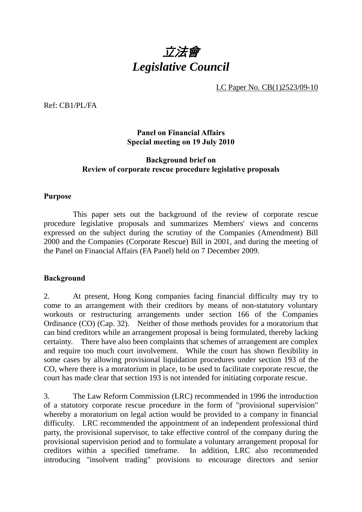

LC Paper No. CB(1)2523/09-10

Ref: CB1/PL/FA

### **Panel on Financial Affairs Special meeting on 19 July 2010**

### **Background brief on Review of corporate rescue procedure legislative proposals**

#### **Purpose**

 This paper sets out the background of the review of corporate rescue procedure legislative proposals and summarizes Members' views and concerns expressed on the subject during the scrutiny of the Companies (Amendment) Bill 2000 and the Companies (Corporate Rescue) Bill in 2001, and during the meeting of the Panel on Financial Affairs (FA Panel) held on 7 December 2009.

#### **Background**

2. At present, Hong Kong companies facing financial difficulty may try to come to an arrangement with their creditors by means of non-statutory voluntary workouts or restructuring arrangements under section 166 of the Companies Ordinance (CO) (Cap. 32). Neither of those methods provides for a moratorium that can bind creditors while an arrangement proposal is being formulated, thereby lacking certainty. There have also been complaints that schemes of arrangement are complex and require too much court involvement. While the court has shown flexibility in some cases by allowing provisional liquidation procedures under section 193 of the CO, where there is a moratorium in place, to be used to facilitate corporate rescue, the court has made clear that section 193 is not intended for initiating corporate rescue.

3. The Law Reform Commission (LRC) recommended in 1996 the introduction of a statutory corporate rescue procedure in the form of "provisional supervision" whereby a moratorium on legal action would be provided to a company in financial difficulty. LRC recommended the appointment of an independent professional third party, the provisional supervisor, to take effective control of the company during the provisional supervision period and to formulate a voluntary arrangement proposal for creditors within a specified timeframe. In addition, LRC also recommended introducing "insolvent trading" provisions to encourage directors and senior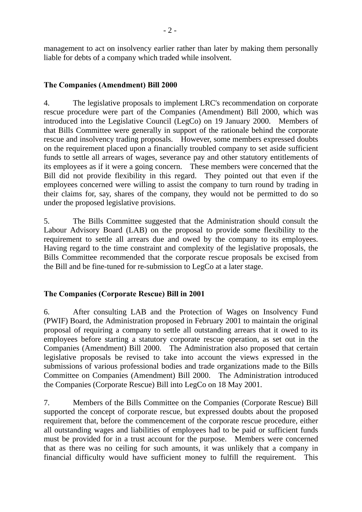management to act on insolvency earlier rather than later by making them personally liable for debts of a company which traded while insolvent.

### **The Companies (Amendment) Bill 2000**

4. The legislative proposals to implement LRC's recommendation on corporate rescue procedure were part of the Companies (Amendment) Bill 2000, which was introduced into the Legislative Council (LegCo) on 19 January 2000. Members of that Bills Committee were generally in support of the rationale behind the corporate rescue and insolvency trading proposals. However, some members expressed doubts on the requirement placed upon a financially troubled company to set aside sufficient funds to settle all arrears of wages, severance pay and other statutory entitlements of its employees as if it were a going concern. These members were concerned that the Bill did not provide flexibility in this regard. They pointed out that even if the employees concerned were willing to assist the company to turn round by trading in their claims for, say, shares of the company, they would not be permitted to do so under the proposed legislative provisions.

5. The Bills Committee suggested that the Administration should consult the Labour Advisory Board (LAB) on the proposal to provide some flexibility to the requirement to settle all arrears due and owed by the company to its employees. Having regard to the time constraint and complexity of the legislative proposals, the Bills Committee recommended that the corporate rescue proposals be excised from the Bill and be fine-tuned for re-submission to LegCo at a later stage.

### **The Companies (Corporate Rescue) Bill in 2001**

6. After consulting LAB and the Protection of Wages on Insolvency Fund (PWIF) Board, the Administration proposed in February 2001 to maintain the original proposal of requiring a company to settle all outstanding arrears that it owed to its employees before starting a statutory corporate rescue operation, as set out in the Companies (Amendment) Bill 2000. The Administration also proposed that certain legislative proposals be revised to take into account the views expressed in the submissions of various professional bodies and trade organizations made to the Bills Committee on Companies (Amendment) Bill 2000. The Administration introduced the Companies (Corporate Rescue) Bill into LegCo on 18 May 2001.

7. Members of the Bills Committee on the Companies (Corporate Rescue) Bill supported the concept of corporate rescue, but expressed doubts about the proposed requirement that, before the commencement of the corporate rescue procedure, either all outstanding wages and liabilities of employees had to be paid or sufficient funds must be provided for in a trust account for the purpose. Members were concerned that as there was no ceiling for such amounts, it was unlikely that a company in financial difficulty would have sufficient money to fulfill the requirement. This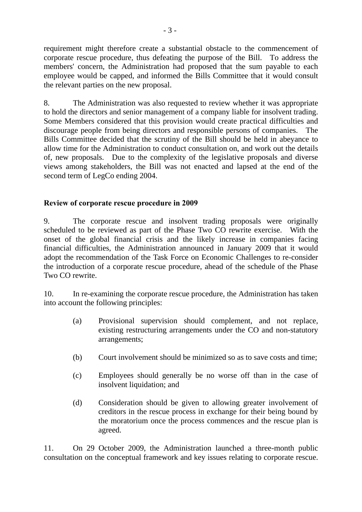requirement might therefore create a substantial obstacle to the commencement of corporate rescue procedure, thus defeating the purpose of the Bill. To address the members' concern, the Administration had proposed that the sum payable to each employee would be capped, and informed the Bills Committee that it would consult the relevant parties on the new proposal.

8. The Administration was also requested to review whether it was appropriate to hold the directors and senior management of a company liable for insolvent trading. Some Members considered that this provision would create practical difficulties and discourage people from being directors and responsible persons of companies. The Bills Committee decided that the scrutiny of the Bill should be held in abeyance to allow time for the Administration to conduct consultation on, and work out the details of, new proposals. Due to the complexity of the legislative proposals and diverse views among stakeholders, the Bill was not enacted and lapsed at the end of the second term of LegCo ending 2004.

# **Review of corporate rescue procedure in 2009**

9. The corporate rescue and insolvent trading proposals were originally scheduled to be reviewed as part of the Phase Two CO rewrite exercise. With the onset of the global financial crisis and the likely increase in companies facing financial difficulties, the Administration announced in January 2009 that it would adopt the recommendation of the Task Force on Economic Challenges to re-consider the introduction of a corporate rescue procedure, ahead of the schedule of the Phase Two CO rewrite.

10. In re-examining the corporate rescue procedure, the Administration has taken into account the following principles:

- (a) Provisional supervision should complement, and not replace, existing restructuring arrangements under the CO and non-statutory arrangements;
- (b) Court involvement should be minimized so as to save costs and time;
- (c) Employees should generally be no worse off than in the case of insolvent liquidation; and
- (d) Consideration should be given to allowing greater involvement of creditors in the rescue process in exchange for their being bound by the moratorium once the process commences and the rescue plan is agreed.

11. On 29 October 2009, the Administration launched a three-month public consultation on the conceptual framework and key issues relating to corporate rescue.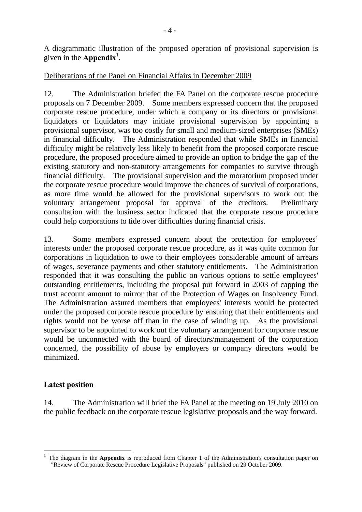A diagrammatic illustration of the proposed operation of provisional supervision is given in the **Appendix<sup>1</sup>**.

# Deliberations of the Panel on Financial Affairs in December 2009

12. The Administration briefed the FA Panel on the corporate rescue procedure proposals on 7 December 2009. Some members expressed concern that the proposed corporate rescue procedure, under which a company or its directors or provisional liquidators or liquidators may initiate provisional supervision by appointing a provisional supervisor, was too costly for small and medium-sized enterprises (SMEs) in financial difficulty. The Administration responded that while SMEs in financial difficulty might be relatively less likely to benefit from the proposed corporate rescue procedure, the proposed procedure aimed to provide an option to bridge the gap of the existing statutory and non-statutory arrangements for companies to survive through financial difficulty. The provisional supervision and the moratorium proposed under the corporate rescue procedure would improve the chances of survival of corporations, as more time would be allowed for the provisional supervisors to work out the voluntary arrangement proposal for approval of the creditors. Preliminary consultation with the business sector indicated that the corporate rescue procedure could help corporations to tide over difficulties during financial crisis.

13. Some members expressed concern about the protection for employees' interests under the proposed corporate rescue procedure, as it was quite common for corporations in liquidation to owe to their employees considerable amount of arrears of wages, severance payments and other statutory entitlements. The Administration responded that it was consulting the public on various options to settle employees' outstanding entitlements, including the proposal put forward in 2003 of capping the trust account amount to mirror that of the Protection of Wages on Insolvency Fund. The Administration assured members that employees' interests would be protected under the proposed corporate rescue procedure by ensuring that their entitlements and rights would not be worse off than in the case of winding up. As the provisional supervisor to be appointed to work out the voluntary arrangement for corporate rescue would be unconnected with the board of directors/management of the corporation concerned, the possibility of abuse by employers or company directors would be minimized.

### **Latest position**

14. The Administration will brief the FA Panel at the meeting on 19 July 2010 on the public feedback on the corporate rescue legislative proposals and the way forward.

<sup>1</sup> 1 The diagram in the **Appendix** is reproduced from Chapter 1 of the Administration's consultation paper on "Review of Corporate Rescue Procedure Legislative Proposals" published on 29 October 2009.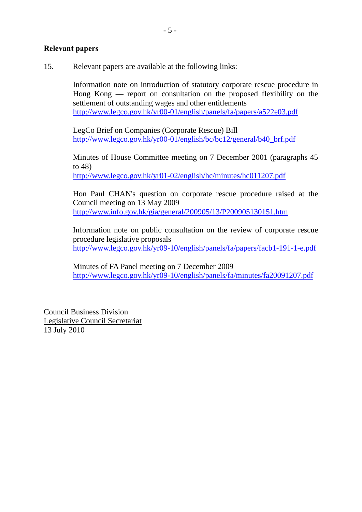### **Relevant papers**

15. Relevant papers are available at the following links:

Information note on introduction of statutory corporate rescue procedure in Hong Kong — report on consultation on the proposed flexibility on the settlement of outstanding wages and other entitlements http://www.legco.gov.hk/yr00-01/english/panels/fa/papers/a522e03.pdf

LegCo Brief on Companies (Corporate Rescue) Bill http://www.legco.gov.hk/yr00-01/english/bc/bc12/general/b40\_brf.pdf

Minutes of House Committee meeting on 7 December 2001 (paragraphs 45 to 48)

http://www.legco.gov.hk/yr01-02/english/hc/minutes/hc011207.pdf

Hon Paul CHAN's question on corporate rescue procedure raised at the Council meeting on 13 May 2009 http://www.info.gov.hk/gia/general/200905/13/P200905130151.htm

Information note on public consultation on the review of corporate rescue procedure legislative proposals http://www.legco.gov.hk/yr09-10/english/panels/fa/papers/facb1-191-1-e.pdf

 Minutes of FA Panel meeting on 7 December 2009 http://www.legco.gov.hk/yr09-10/english/panels/fa/minutes/fa20091207.pdf

Council Business Division Legislative Council Secretariat 13 July 2010